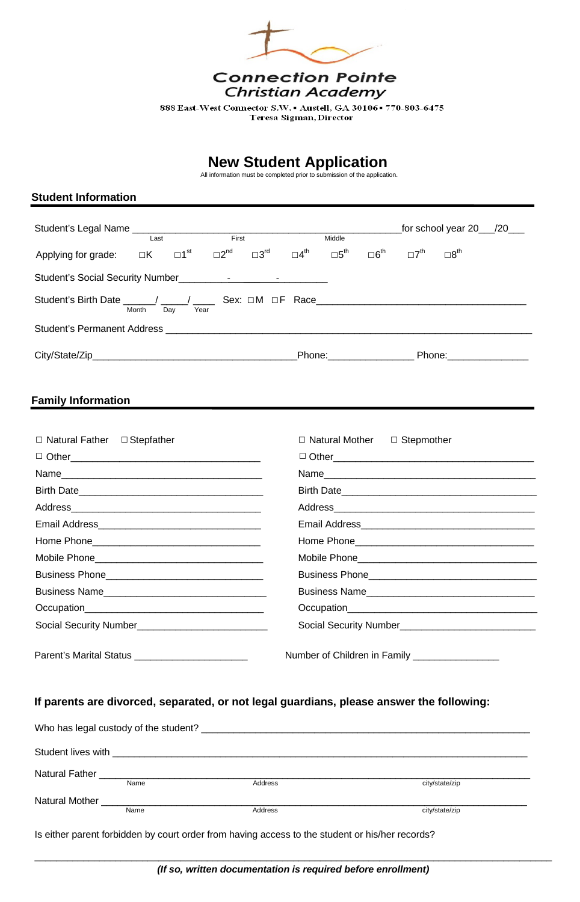

888 East-West Connector S.W. . Austell, GA 30106 - 770-803-6475 Teresa Sigman, Director

# **New Student Application**

|                                                                                                                  | Last |  | First |  |  | Middle                                                                                              |                           |                           |                         |  |
|------------------------------------------------------------------------------------------------------------------|------|--|-------|--|--|-----------------------------------------------------------------------------------------------------|---------------------------|---------------------------|-------------------------|--|
| Applying for grade: $\Box K$ $\Box 1^{\text{st}}$ $\Box 2^{\text{nd}}$ $\Box 3^{\text{rd}}$ $\Box 4^{\text{th}}$ |      |  |       |  |  | $\square 5^{\mathsf{th}}$                                                                           | $\square 6^{\mathsf{th}}$ | $\square 7^{\mathsf{th}}$ | $\square 8^{\text{th}}$ |  |
|                                                                                                                  |      |  |       |  |  |                                                                                                     |                           |                           |                         |  |
| Student's Birth Date _____/ ____/ ____ Sex: □M □F Race _____________<br>Day<br>Month<br>Year                     |      |  |       |  |  |                                                                                                     |                           |                           |                         |  |
| Student's Permanent Address <b>Student</b> 's Permanent Address                                                  |      |  |       |  |  |                                                                                                     |                           |                           |                         |  |
|                                                                                                                  |      |  |       |  |  | Phone: 2000 2000 2010 2010 2020 2020 2021 2021 2022 2021 2021 2021 2021 2021 2022 2021 2021 2021 20 |                           |                           |                         |  |

All information must be completed prior to submission of the application.

#### **Student Information**

### **Family Information**

I

| $\Box$ Natural Father $\Box$ Stepfather                                                                                                                                                                                       | $\Box$ Natural Mother $\Box$ Stepmother |
|-------------------------------------------------------------------------------------------------------------------------------------------------------------------------------------------------------------------------------|-----------------------------------------|
|                                                                                                                                                                                                                               |                                         |
|                                                                                                                                                                                                                               | Name                                    |
|                                                                                                                                                                                                                               |                                         |
|                                                                                                                                                                                                                               |                                         |
|                                                                                                                                                                                                                               |                                         |
|                                                                                                                                                                                                                               |                                         |
|                                                                                                                                                                                                                               |                                         |
|                                                                                                                                                                                                                               |                                         |
|                                                                                                                                                                                                                               |                                         |
| Occupation experience and the contract of the contract of the contract of the contract of the contract of the contract of the contract of the contract of the contract of the contract of the contract of the contract of the | Occupation<br><u>Compatible</u>         |
|                                                                                                                                                                                                                               |                                         |

| <b>Parent's Marital Status</b> |  |  |  |
|--------------------------------|--|--|--|
|--------------------------------|--|--|--|

Parent's Marital Status \_\_\_\_\_\_\_\_\_\_\_\_\_\_\_\_\_\_\_\_\_ Number of Children in Family \_\_\_\_\_\_\_\_\_\_\_\_\_\_\_\_

#### **If parents are divorced, separated, or not legal guardians, please answer the following:**

|                               | Who has legal custody of the student? | <u> 1989 - John Stone, amerikansk politiker (* 1989)</u> |                |
|-------------------------------|---------------------------------------|----------------------------------------------------------|----------------|
| Student lives with            |                                       |                                                          |                |
| Natural Father <b>Natural</b> | Name                                  | Address                                                  | city/state/zip |
| <b>Natural Mother</b>         | Name                                  | Address                                                  | city/state/zip |
|                               |                                       |                                                          |                |

Is either parent forbidden by court order from having access to the student or his/her records?

\_\_\_\_\_\_\_\_\_\_\_\_\_\_\_\_\_\_\_\_\_\_\_\_\_\_\_\_\_\_\_\_\_\_\_\_\_\_\_\_\_\_\_\_\_\_\_\_\_\_\_\_\_\_\_\_\_\_\_\_\_\_\_\_\_\_\_\_\_\_\_\_\_\_\_\_\_\_\_\_\_\_\_\_\_\_\_\_\_\_\_\_\_\_\_\_ *(If so, written documentation is required before enrollment)*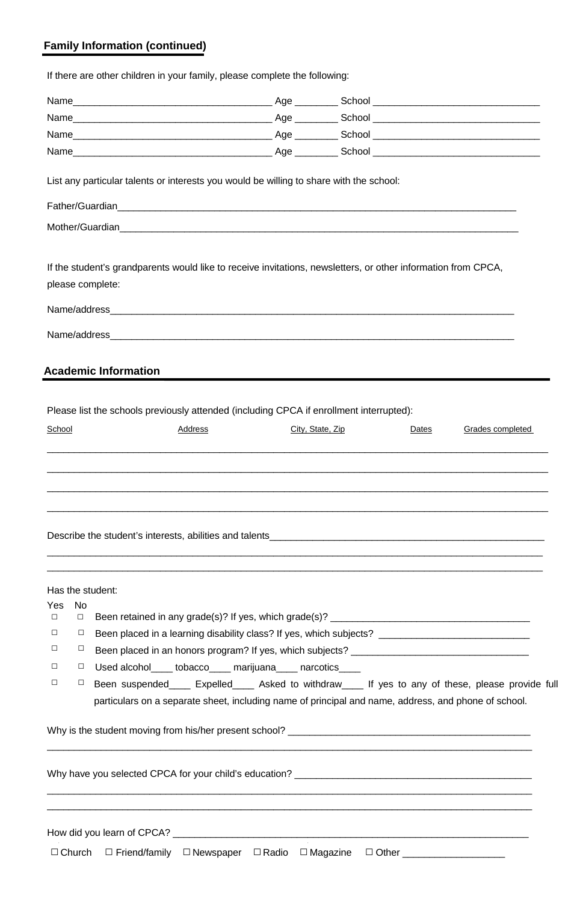## **Family Information (continued)**

If there are other children in your family, please complete the following:

|                                                          | List any particular talents or interests you would be willing to share with the school:                       |                  |       |                         |
|----------------------------------------------------------|---------------------------------------------------------------------------------------------------------------|------------------|-------|-------------------------|
|                                                          |                                                                                                               |                  |       |                         |
|                                                          |                                                                                                               |                  |       |                         |
| please complete:                                         | If the student's grandparents would like to receive invitations, newsletters, or other information from CPCA, |                  |       |                         |
| <b>Academic Information</b>                              |                                                                                                               |                  |       |                         |
|                                                          | Please list the schools previously attended (including CPCA if enrollment interrupted):                       |                  |       |                         |
| School                                                   | Address                                                                                                       | City, State, Zip | Dates | <b>Grades completed</b> |
|                                                          |                                                                                                               |                  |       |                         |
|                                                          |                                                                                                               |                  |       |                         |
| Has the student:<br>Yes<br><b>No</b><br>$\Box$<br>$\Box$ | Been retained in any grade(s)? If yes, which grade(s)? __________________________                             |                  |       |                         |

- □ □ Been placed in a learning disability class? If yes, which subjects? \_\_\_\_\_\_\_\_\_\_\_\_\_\_\_\_\_\_\_\_\_\_\_\_\_\_\_\_
- □ □ Been placed in an honors program? If yes, which subjects? \_\_\_\_\_\_\_\_\_\_\_\_\_\_\_\_\_\_\_\_\_\_\_
- □ □ Used alcohol\_\_\_\_ tobacco\_\_\_\_ marijuana\_\_\_\_ narcotics\_\_\_\_
- □ □ Been suspended\_\_\_\_ Expelled\_\_\_\_ Asked to withdraw\_\_\_\_ If yes to any of these, please provide full particulars on a separate sheet, including name of principal and name, address, and phone of school.

 $\mathcal{L}_\mathcal{L} = \mathcal{L}_\mathcal{L} = \mathcal{L}_\mathcal{L} = \mathcal{L}_\mathcal{L} = \mathcal{L}_\mathcal{L} = \mathcal{L}_\mathcal{L} = \mathcal{L}_\mathcal{L} = \mathcal{L}_\mathcal{L} = \mathcal{L}_\mathcal{L} = \mathcal{L}_\mathcal{L} = \mathcal{L}_\mathcal{L} = \mathcal{L}_\mathcal{L} = \mathcal{L}_\mathcal{L} = \mathcal{L}_\mathcal{L} = \mathcal{L}_\mathcal{L} = \mathcal{L}_\mathcal{L} = \mathcal{L}_\mathcal{L}$ 

Why is the student moving from his/her present school? \_\_\_\_\_\_\_\_\_\_\_\_\_\_\_\_\_\_\_\_\_\_\_\_\_\_\_\_\_\_\_\_\_\_\_\_\_\_\_\_\_\_\_\_\_

Why have you selected CPCA for your child's education? **Why have your selected** CPCA for your child's education?

\_\_\_\_\_\_\_\_\_\_\_\_\_\_\_\_\_\_\_\_\_\_\_\_\_\_\_\_\_\_\_\_\_\_\_\_\_\_\_\_\_\_\_\_\_\_\_\_\_\_\_\_\_\_\_\_\_\_\_\_\_\_\_\_\_\_\_\_\_\_\_\_\_\_\_\_\_\_\_\_\_\_\_\_\_\_\_\_\_\_

 $\_$  ,  $\_$  ,  $\_$  ,  $\_$  ,  $\_$  ,  $\_$  ,  $\_$  ,  $\_$  ,  $\_$  ,  $\_$  ,  $\_$  ,  $\_$  ,  $\_$  ,  $\_$  ,  $\_$  ,  $\_$  ,  $\_$  ,  $\_$  ,  $\_$  ,  $\_$  ,  $\_$  ,  $\_$  ,  $\_$  ,  $\_$  ,  $\_$  ,  $\_$  ,  $\_$  ,  $\_$  ,  $\_$  ,  $\_$  ,  $\_$  ,  $\_$  ,  $\_$  ,  $\_$  ,  $\_$  ,  $\_$  ,  $\_$  ,

How did you learn of CPCA? \_\_\_\_\_\_\_\_\_\_\_\_\_\_\_\_\_\_\_\_\_\_\_\_\_\_\_\_\_\_\_\_\_\_\_\_\_\_\_\_\_\_\_\_\_\_\_\_\_\_\_\_\_\_\_\_\_\_\_\_\_\_\_\_\_\_

□ Church □ Friend/family □ Newspaper □ Radio □ Magazine □ Other \_\_\_\_\_\_\_\_\_\_\_\_\_\_\_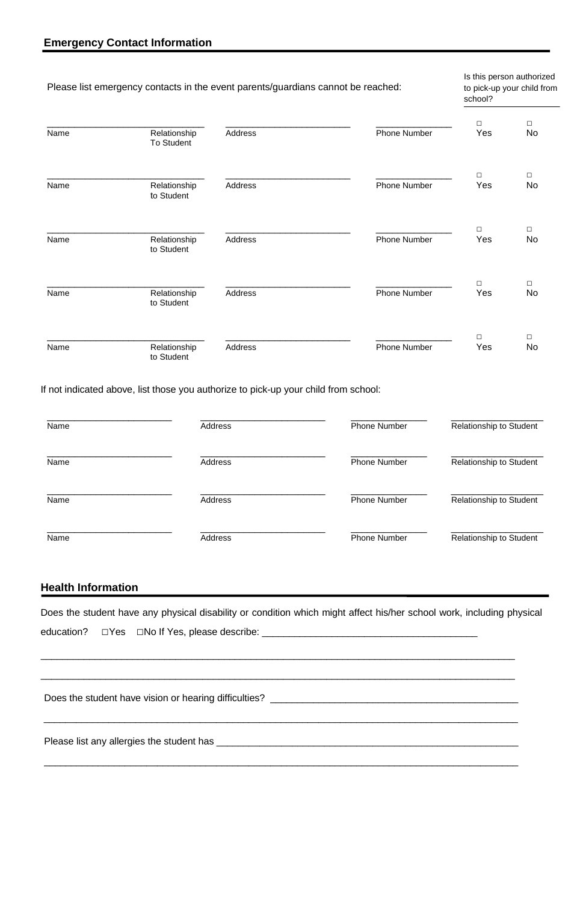| Name | Address        | <b>Phone Number</b> | <b>Relationship to Student</b> |
|------|----------------|---------------------|--------------------------------|
| Name | Address        | <b>Phone Number</b> | <b>Relationship to Student</b> |
| Name | Address        | <b>Phone Number</b> | <b>Relationship to Student</b> |
| Name | <b>Address</b> | <b>Phone Number</b> | <b>Relationship to Student</b> |

If not indicated above, list those you authorize to pick-up your child from school:

|      |                                   | Please list emergency contacts in the event parents/guardians cannot be reached: |                     | school?       | Is this person authorized<br>to pick-up your child from |
|------|-----------------------------------|----------------------------------------------------------------------------------|---------------------|---------------|---------------------------------------------------------|
| Name | Relationship<br><b>To Student</b> | Address                                                                          | <b>Phone Number</b> | $\Box$<br>Yes | $\Box$<br><b>No</b>                                     |
| Name | Relationship<br>to Student        | <b>Address</b>                                                                   | <b>Phone Number</b> | $\Box$<br>Yes | $\Box$<br><b>No</b>                                     |
| Name | Relationship<br>to Student        | <b>Address</b>                                                                   | <b>Phone Number</b> | $\Box$<br>Yes | $\Box$<br><b>No</b>                                     |
| Name | Relationship<br>to Student        | Address                                                                          | <b>Phone Number</b> | $\Box$<br>Yes | $\Box$<br><b>No</b>                                     |
| Name | Relationship<br>to Student        | Address                                                                          | <b>Phone Number</b> | $\Box$<br>Yes | $\Box$<br><b>No</b>                                     |

## **Health Information**

Does the student have any physical disability or condition which might affect his/her school work, including physical

\_\_\_\_\_\_\_\_\_\_\_\_\_\_\_\_\_\_\_\_\_\_\_\_\_\_\_\_\_\_\_\_\_\_\_\_\_\_\_\_\_\_\_\_\_\_\_\_\_\_\_\_\_\_\_\_\_\_\_\_\_\_\_\_\_\_\_\_\_\_\_\_\_\_\_\_\_\_\_\_\_\_\_\_\_\_\_\_

\_\_\_\_\_\_\_\_\_\_\_\_\_\_\_\_\_\_\_\_\_\_\_\_\_\_\_\_\_\_\_\_\_\_\_\_\_\_\_\_\_\_\_\_\_\_\_\_\_\_\_\_\_\_\_\_\_\_\_\_\_\_\_\_\_\_\_\_\_\_\_\_\_\_\_\_\_\_\_\_\_\_\_\_\_\_\_\_

Does the student have vision or hearing difficulties? \_\_\_\_\_\_\_\_\_\_\_\_\_\_\_\_\_\_\_\_\_\_\_\_\_\_\_\_\_\_\_\_\_\_\_\_\_\_\_\_\_\_\_\_\_\_

\_\_\_\_\_\_\_\_\_\_\_\_\_\_\_\_\_\_\_\_\_\_\_\_\_\_\_\_\_\_\_\_\_\_\_\_\_\_\_\_\_\_\_\_\_\_\_\_\_\_\_\_\_\_\_\_\_\_\_\_\_\_\_\_\_\_\_\_\_\_\_\_\_\_\_\_\_\_\_\_\_\_\_\_\_\_\_\_

Please list any allergies the student has \_\_\_\_\_\_\_\_\_\_\_\_\_\_\_\_\_\_\_\_\_\_\_\_\_\_\_\_\_\_\_\_\_\_\_\_\_\_\_\_\_\_\_\_\_\_\_\_\_\_\_\_\_\_\_\_

\_\_\_\_\_\_\_\_\_\_\_\_\_\_\_\_\_\_\_\_\_\_\_\_\_\_\_\_\_\_\_\_\_\_\_\_\_\_\_\_\_\_\_\_\_\_\_\_\_\_\_\_\_\_\_\_\_\_\_\_\_\_\_\_\_\_\_\_\_\_\_\_\_\_\_\_\_\_\_\_\_\_\_\_\_\_\_\_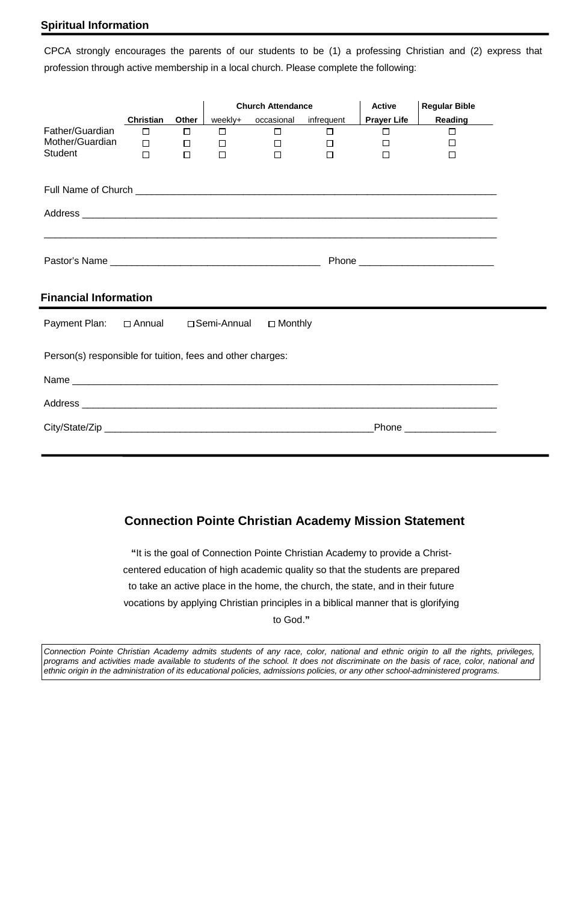## **Spiritual Information**

CPCA strongly encourages the parents of our students to be (1) a professing Christian and (2) express that profession through active membership in a local church. Please complete the following:

|                                                            |                  |              |                                            | <b>Church Attendance</b>      |        | <b>Active</b>      | <b>Regular Bible</b>                                                                                                  |
|------------------------------------------------------------|------------------|--------------|--------------------------------------------|-------------------------------|--------|--------------------|-----------------------------------------------------------------------------------------------------------------------|
|                                                            | <b>Christian</b> | <b>Other</b> |                                            | weekly+ occasional infrequent |        | <b>Prayer Life</b> | <b>Reading</b>                                                                                                        |
| Father/Guardian                                            | $\Box$           | $\Box$       | $\Box$                                     | $\Box$ and $\Box$ and $\Box$  | $\Box$ | $\Box$             | $\Box$                                                                                                                |
| Mother/Guardian                                            | $\Box$           | $\Box$       | <b>Contract Contract Contract Contract</b> | $\Box$                        | $\Box$ | $\Box$             | $\Box$                                                                                                                |
| <b>Student</b>                                             | $\Box$           | $\Box$       | $\Box$                                     | $\Box$                        | $\Box$ | $\Box$             | $\Box$                                                                                                                |
|                                                            |                  |              |                                            |                               |        |                    |                                                                                                                       |
|                                                            |                  |              |                                            |                               |        |                    |                                                                                                                       |
| <b>Financial Information</b>                               |                  |              |                                            |                               |        |                    | <u> 1980 - Johann Stoff, deutscher Stoff, der Stoff, der Stoff, der Stoff, der Stoff, der Stoff, der Stoff, der S</u> |
| Payment Plan: □ Annual □ Semi-Annual □ Monthly             |                  |              |                                            |                               |        |                    |                                                                                                                       |
| Person(s) responsible for tuition, fees and other charges: |                  |              |                                            |                               |        |                    |                                                                                                                       |
|                                                            |                  |              |                                            |                               |        |                    |                                                                                                                       |
|                                                            |                  |              |                                            |                               |        |                    |                                                                                                                       |
|                                                            |                  |              |                                            |                               |        |                    | _Phone _____________________                                                                                          |

# **Connection Pointe Christian Academy Mission Statement**

**"**It is the goal of Connection Pointe Christian Academy to provide a Christcentered education of high academic quality so that the students are prepared to take an active place in the home, the church, the state, and in their future vocations by applying Christian principles in a biblical manner that is glorifying

to God.**"**

*Connection Pointe Christian Academy admits students of any race, color, national and ethnic origin to all the rights, privileges, programs and activities made available to students of the school. It does not discriminate on the basis of race, color, national and ethnic origin in the administration of its educational policies, admissions policies, or any other school-administered programs.*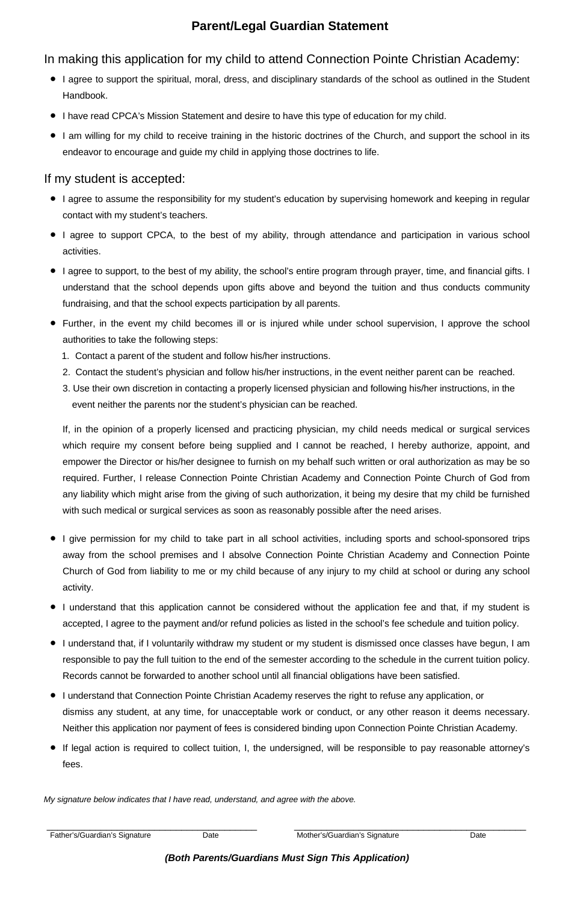# **Parent/Legal Guardian Statement**

# In making this application for my child to attend Connection Pointe Christian Academy:

- I agree to support the spiritual, moral, dress, and disciplinary standards of the school as outlined in the Student Handbook.
- I have read CPCA's Mission Statement and desire to have this type of education for my child.
- I am willing for my child to receive training in the historic doctrines of the Church, and support the school in its endeavor to encourage and guide my child in applying those doctrines to life.

# If my student is accepted:

- I agree to assume the responsibility for my student's education by supervising homework and keeping in regular contact with my student's teachers.
- I agree to support CPCA, to the best of my ability, through attendance and participation in various school activities.
- I agree to support, to the best of my ability, the school's entire program through prayer, time, and financial gifts. I understand that the school depends upon gifts above and beyond the tuition and thus conducts community fundraising, and that the school expects participation by all parents.
- Further, in the event my child becomes ill or is injured while under school supervision, I approve the school authorities to take the following steps:
	- 1. Contact a parent of the student and follow his/her instructions.
	- 2. Contact the student's physician and follow his/her instructions, in the event neither parent can be reached.
	- 3. Use their own discretion in contacting a properly licensed physician and following his/her instructions, in the event neither the parents nor the student's physician can be reached.

| Father's/Guardian's Signature | Date | Mother's/Guardian's Signature                       | Date |
|-------------------------------|------|-----------------------------------------------------|------|
|                               |      | (Both Parents/Guardians Must Sign This Application) |      |

If, in the opinion of a properly licensed and practicing physician, my child needs medical or surgical services which require my consent before being supplied and I cannot be reached, I hereby authorize, appoint, and empower the Director or his/her designee to furnish on my behalf such written or oral authorization as may be so required. Further, I release Connection Pointe Christian Academy and Connection Pointe Church of God from any liability which might arise from the giving of such authorization, it being my desire that my child be furnished with such medical or surgical services as soon as reasonably possible after the need arises.

- I give permission for my child to take part in all school activities, including sports and school-sponsored trips away from the school premises and I absolve Connection Pointe Christian Academy and Connection Pointe Church of God from liability to me or my child because of any injury to my child at school or during any school activity.
- I understand that this application cannot be considered without the application fee and that, if my student is accepted, I agree to the payment and/or refund policies as listed in the school's fee schedule and tuition policy.
	-
- I understand that, if I voluntarily withdraw my student or my student is dismissed once classes have begun, I am responsible to pay the full tuition to the end of the semester according to the schedule in the current tuition policy. Records cannot be forwarded to another school until all financial obligations have been satisfied.
- I understand that Connection Pointe Christian Academy reserves the right to refuse any application, or dismiss any student, at any time, for unacceptable work or conduct, or any other reason it deems necessary. Neither this application nor payment of fees is considered binding upon Connection Pointe Christian Academy.
- If legal action is required to collect tuition, I, the undersigned, will be responsible to pay reasonable attorney's fees.

*My signature below indicates that I have read, understand, and agree with the above.*